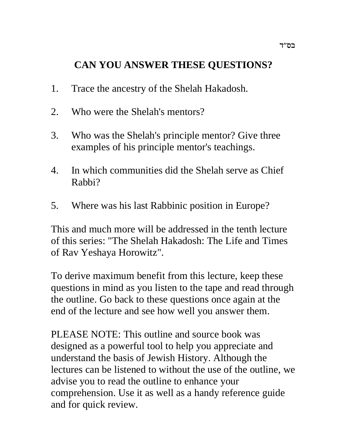# **CAN YOU ANSWER THESE QUESTIONS?**

- 1. Trace the ancestry of the Shelah Hakadosh.
- 2. Who were the Shelah's mentors?
- 3. Who was the Shelah's principle mentor? Give three examples of his principle mentor's teachings.
- 4. In which communities did the Shelah serve as Chief Rabbi?
- 5. Where was his last Rabbinic position in Europe?

This and much more will be addressed in the tenth lecture of this series: "The Shelah Hakadosh: The Life and Times of Rav Yeshaya Horowitz".

To derive maximum benefit from this lecture, keep these questions in mind as you listen to the tape and read through the outline. Go back to these questions once again at the end of the lecture and see how well you answer them.

PLEASE NOTE: This outline and source book was designed as a powerful tool to help you appreciate and understand the basis of Jewish History. Although the lectures can be listened to without the use of the outline, we advise you to read the outline to enhance your comprehension. Use it as well as a handy reference guide and for quick review.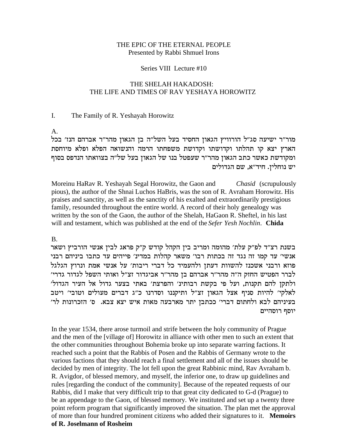#### THE EPIC OF THE ETERNAL PEOPLE Presented by Rabbi Shmuel Irons

#### Series VIII Lecture #10

#### THE SHELAH HAKADOSH: THE LIFE AND TIMES OF RAV YESHAYA HOROWITZ

#### $\mathbf{I}$ . The Family of R. Yeshayah Horowitz

 $A<sub>1</sub>$ 

מור"ר ישיעה סג"ל הורוויץ הגאון החסיד בעל השל"ה בן הגאון מהר"ר אברהם הנז' בכל הארץ יצא קו תהלתו וקדושתו וקדושת משפחתו הרמה והנשואה הפלא ופלא מיוחסת ומקודשת כאשר כתב הגאון מהר״ר שעפטל בנו של הגאון בעל של״ה בצוואתו הנדפס בסוף יש נוחלין. חיד"א, שם הגדולים

Moreinu HaRav R. Yeshayah Segal Horowitz, the Gaon and Chasid (scrupulously pious), the author of the Shnai Luchos HaBris, was the son of R. Avraham Horowitz. His praises and sanctity, as well as the sanctity of his exalted and extraordinarily prestigious family, resounded throughout the entire world. A record of their holy genealogy was written by the son of the Gaon, the author of the Shelah, HaGaon R. Sheftel, in his last will and testament, which was published at the end of the Sefer Yesh Nochlin. Chida

 $B<sub>1</sub>$ 

בשנת רצ"ד לפ"ק עלת' מהומה ומריב בין הקהל קודש ק"ק פראג לבין אנשי הורביץ ושאר אנשי׳ עד קמו זה נגד זה בכתות רבו׳ משאר קהלות במדינ׳ פייהים עד כתבו ביניהם רבני פוזא ורבני אשכנז להשוות דעתן ולהעמיד כל דברי ריבות' על אנשי אמת ונרוץ הגלגל לברר הפטיש החזק ה"ה מהר"ר אברהם בן מהר"ר אביגדור זצ"ל ואותי השפל לגדור גדרי' ולתקן להם תקנות, ועל פי בקשת רבותינ׳ והפרצת׳ באתי בצער גדול אל העיר הגדול׳ לאלקי׳ להיות סניף אצל הגאון זצ״ל ותיקננו וסדרנו כ״ג דברים מעולים וטובי׳ ויטב בעיניהם לבא ולחתום דברי' ככתבן יתר מארבעה מאות איש יצא צבא. ס' הזכרונות לר' יוסף רוסהיים

In the year 1534, there arose turmoil and strife between the holy community of Prague and the men of the [village of] Horowitz in alliance with other men to such an extent that the other communities throughout Bohemia broke up into separate warring factions. It reached such a point that the Rabbis of Posen and the Rabbis of Germany wrote to the various factions that they should reach a final settlement and all of the issues should be decided by men of integrity. The lot fell upon the great Rabbinic mind, Rav Avraham b. R. Avigdor, of blessed memory, and myself, the inferior one, to draw up guidelines and rules [regarding the conduct of the community]. Because of the repeated requests of our Rabbis, did I make that very difficult trip to that great city dedicated to G-d (Prague) to be an appendage to the Gaon, of blessed memory. We instituted and set up a twenty three point reform program that significantly improved the situation. The plan met the approval of more than four hundred prominent citizens who added their signatures to it. Memoirs of R. Joselmann of Rosheim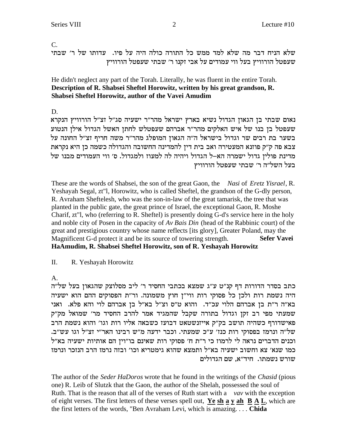## $C_{\cdot}$ שלא הניח דבר מה שלא למד ממש כל התורה כולה היה על פיו. עדותו של ר׳ שבתי שעפטל הורוויץ בעל ווי עמודים על אבי זקנו ר׳ שבתי שעפטל הורוויץ

He didn't neglect any part of the Torah. Literally, he was fluent in the entire Torah. Description of R. Shabsei Sheftel Horowitz, written by his great grandson, R. Shabsei Sheftel Horowitz, author of the Vavei Amudim

D.

נאום שבתי בן הגאון הגדול נשיא בארץ ישראל מהר"ר ישעיה סג"ל זצ"ל הורוויץ הנקרא שעפטל בן בנו של איש האלקים מהר"ר אברהם שעפטלש לחתן האשל הגדול אילן הנטוע בשער בת רבים שר וגדול בישראל ה"ה הגאון המופלג מהר"ר משה חריף זצ"ל החונה על צבא פה ק״ק פוזנא המעטירה ואב בית דין להמדינה החשובה והגדולה כשמה כן היא נקראת מדינת פוליז גדול ישמרה הא–ל הגדול ויהיה לה למעוז ולמגדול. ס׳ ווי העמודים מבנו של בעל השל״ה ר׳ שבתי שעפטל הורוויץ

These are the words of Shabsei, the son of the great Gaon, the Nasi of Eretz Yisrael, R. Yeshayah Segal, zt"l, Horowitz, who is called Sheftel, the grandson of the G-dly person, R. Avraham Sheftelesh, who was the son-in-law of the great tamarisk, the tree that was planted in the public gate, the great prince of Israel, the exceptional Gaon, R. Moshe Charif, zt"l, who (referring to R. Sheftel) is presently doing G-d's service here in the holy and noble city of Posen in the capacity of Av Bais Din (head of the Rabbinic court) of the great and prestigious country whose name reflects [its glory], Greater Poland, may the Magnificent G-d protect it and be its source of towering strength. **Sefer Vavei** HaAmudim, R. Shabsei Sheftel Horowitz, son of R. Yeshayah Horowitz

 $\Pi$ . R. Yeshayah Horowitz

 $\mathsf{A}$ .

כתב בסדר הדורות דף קנ"ט ע"ג שמצא בכתבי החסיד ר' ליב מסלוצק שהגאון בעל של"ה היה נשמת רות ולכן כל פסוקי רות ווי"ן חוץ משמונה. ור"ת הפסוקים ההם הוא ישעיה בא״ה ר״ת בן אברהם הלוי עכ״ד. והוא ט״ס וצ״ל בא״ל בן אברהם לוי והא פלא. ואני שמעתי מפי רב זקן וגדול בתורה שקבל שהמגיד אמר להרב החסיד מר' שמואל מק"ק פאישדורף כשהיה תושב בק"ק אייזנשטאט דבועז כשבאה אליו רות וגו' והוא נשמת הרב של"ה ונרמז בפסוקי רות כנז' ע"כ שמעתי. וכבר ידעה מ"ש רבינו האר"י זצ"ל וגו עש"ב. וכנים הדברים נראה לי לרמוז כי ר"ת ח' פסוקי רות שאינם בו"וין הם אותיות ישעיה בא"ל כמו שנא׳ צא וחשוב ישעיה בא״ל ותמצא שהוא גימטריא וכו׳ ובזה נרמז הרב הנזכר ונרמז שורש נשמתו. חיד"א, שם הגדולים

The author of the Seder HaDoros wrote that he found in the writings of the Chasid (pious one) R. Leib of Slutzk that the Gaon, the author of the Shelah, possessed the soul of Ruth. That is the reason that all of the verses of Ruth start with a vav with the exception of eight verses. The first letters of these verses spell out, Ye sh a y ah  $\overline{B}$  A  $\overline{L}$ , which are the first letters of the words, "Ben Avraham Levi, which is amazing.... Chida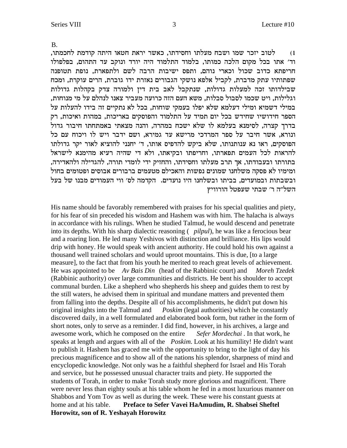**B.** 

לטוב יזכר שמו ושבח מעלתו וחסידתו, כאשר יראת חטאו היתה קודמת לחכמתו,  $(1)$ וד׳ אתו בכל מקום הלכה כמותו, בלמוד התלמוד היה יורד ונוקב עד התהום, בפלפולו חריפתא כדוב שכול וכארי נוהם, ותפס ישיבות הרבה לשם ולתפארת, נופת תטופנה שפתותיו עתק מדברת, לקביל אלפא נושקי הגבורים נאזרת ידו גוברת, הרים עוקרת, ומכח שבילדותו זכה למעלות גדולות, שנתקבל לאב בית דין ולמורה צדק בקהלות גדולות וגלילות, ויט שכמו לסבול סבלות, משא העם הזה כרועה מעביר צאנו לנהלם על מי מנוחות, במילי דשמיא ומילי דעלמא שלא יפלו בעמקי שוחות, בכל לא נתקיים זה בידו להעלות על הספר חידושיו שחידש בכל יום תמיד על התלמוד והפוסקים באריכות, במהות ואיכות, רק בדרך קצרה, לסימנא בעלמא לו שלא ישכח במהרה, והנה מצאתי באמתחתו חיבור גדול ונורא, אשר חיבר על ספר המרדכי מרישא עד גמירא, ושם ידבר ויש לו ויכוח עם כל הפוסקים, ראו נא ענותנותו, שלא ביקש להדפיס אותו, ד׳ יחנני להוציא לאור יקר גדולתו להראות לכל העמים תפארתו, וחריפתו ובקיאתו, ולא די שהיה רעיא מהימנא לישראל בתורתו ובעבודתו, אך תרב מעלתו וחסידתו, והחזיק ידי לומדי תורה, להגדילה ולהאדירה, ומימיו לא פסקה משלחנו שמונים נפשות והאכילם מטעמים ברבורים אבוסים ופטומים בחול ובשבתות ובמועדים, בביתו ובשלחנו היו נועדים. הקדמה לס׳ ווי העמודים מבנו של בעל השל"ה ר' שבתי שעפטל הורוויץ

His name should be favorably remembered with praises for his special qualities and piety, for his fear of sin preceded his wisdom and Hashem was with him. The halacha is always in accordance with his rulings. When he studied Talmud, he would descend and penetrate into its depths. With his sharp dialectic reasoning (*pilpul*), he was like a ferocious bear and a roaring lion. He led many Yeshivos with distinction and brilliance. His lips would drip with honey. He would speak with ancient authority. He could hold his own against a thousand well trained scholars and would uproot mountains. This is due, [to a large measure], to the fact that from his youth he merited to reach great levels of achievement. He was appointed to be Av Bais Din (head of the Rabbinic court) and Moreh Tzedek (Rabbinic authority) over large communities and districts. He bent his shoulder to accept communal burden. Like a shepherd who shepherds his sheep and guides them to rest by the still waters, he advised them in spiritual and mundane matters and prevented them from falling into the depths. Despite all of his accomplishments, he didn't put down his original insights into the Talmud and *Poskim* (legal authorities) which he constantly discovered daily, in a well formulated and elaborated book form, but rather in the form of short notes, only to serve as a reminder. I did find, however, in his archives, a large and awesome work, which he composed on the entire Sefer Mordechai. In that work, he speaks at length and argues with all of the *Poskim*. Look at his humility! He didn't want to publish it. Hashem has graced me with the opportunity to bring to the light of day his precious magnificence and to show all of the nations his splendor, sharpness of mind and encyclopedic knowledge. Not only was he a faithful shepherd for Israel and His Torah and service, but he possessed unusual character traits and piety. He supported the students of Torah, in order to make Torah study more glorious and magnificent. There were never less than eighty souls at his table whom he fed in a most luxurious manner on Shabbos and Yom Tov as well as during the week. These were his constant guests at home and at his table. Preface to Sefer Vavei HaAmudim, R. Shabsei Sheftel Horowitz, son of R. Yeshayah Horowitz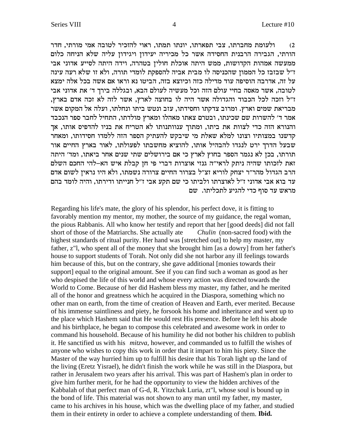ולעומת מחברתו, צבי תפארתו, יונתו תמתו, ראוי להזכיר לטובה אמי מורתי, חדר  $(2)$ הורתי, הגבירה הרבנית החסידה אשר כל מכיריה יעידון ויגידון עליה שלא הניחה כלום ממעשה אמהות הקדושות, ממש היתה אוכלת חולין בטהרה, וידה היתה לסייע אדוני אבי ז״ל שבזבז כל הממון שהכניסה לו מבית אביה להספקת לומדי תורה, ולא זו שלא רעה עינה על זה, אדרבה הוסיפה עוד מדילה כזה וכיוצא בזה, הביטו נא וראו אם אשה בכל אלה ימצא לטובה, אשר מאסה בחיי עולם הזה וכל מעשיה לעולם הבא, ובגללה בירך ד׳ את אדוני אבי ז"ל וזכה לכל הכבוד והגדולה אשר היה לו בחוצה לארץ, אשר לזה לא זכה אדם בארץ, מבריאת שמים וארץ. ומרוב צדקתו וחסידתו, עזב ונטש ביתו ונחלתו, ועלה אל המקום אשר אמר ד׳ להשרות שם שכינתו, ובטרם צאתו מאהלו ומארץ מולדתו, התחיל לחבר ספר הנכבד והנורא הזה כדי לצוות את ביתו, ומתוך ענוותנותו לא הטריח את בניו להדפיס אותו, אך קדשנו במצותיו וצונו למלא שאלת מי שיבקש להעתיק הספר הזה ללמדו חסידותו, ומאחר שבעל הדרך ירט לנגדו להבהיל אותו, להוציא מחשבתו לפעולתו, לאור בארץ החיים אור תורתו, בכן לא נגמר הספר בחוץ לארץ כי אם בירושלים שתי שנים אחר ביאתו, ומד׳ היתה זאת לזכותו שהיה ניתק לראי"ה גנזי אוצרות דברי פי חן קבלת איש הא-להי החכם השלם הרב הגדול מהר״ר יצחק לוריא זצ״ל בצרור החיים צרורה נשמתו, ולא היו נראין לשום אדם עד בוא אבי אדוני ז"ל לאוצרתו ולביתו כי שם תקע אבי ז"ל חנייתו ודירתו, והיה לומד בהם מראש עד סוף כדי להגיע לתכליתו. שם

Regarding his life's mate, the glory of his splendor, his perfect dove, it is fitting to favorably mention my mentor, my mother, the source of my guidance, the regal woman, the pious Rabbanis. All who know her testify and report that her [good deeds] did not fall short of those of the Matriarchs. She actually ate *Chulin* (non-sacred food) with the highest standards of ritual purity. Her hand was [stretched out] to help my master, my father, z"l, who spent all of the money that she brought him [as a dowry] from her father's house to support students of Torah. Not only did she not harbor any ill feelings towards him because of this, but on the contrary, she gave additional [monies towards their support] equal to the original amount. See if you can find such a woman as good as her who despised the life of this world and whose every action was directed towards the World to Come. Because of her did Hashem bless my master, my father, and he merited all of the honor and greatness which he acquired in the Diaspora, something which no other man on earth, from the time of creation of Heaven and Earth, ever merited. Because of his immense saintliness and piety, he forsook his home and inheritance and went up to the place which Hashem said that He would rest His presence. Before he left his abode and his birthplace, he began to compose this celebrated and awesome work in order to command his household. Because of his humility he did not bother his children to publish it. He sanctified us with his *mitzva*, however, and commanded us to fulfill the wishes of anyone who wishes to copy this work in order that it impart to him his piety. Since the Master of the way hurried him up to fulfill his desire that his Torah light up the land of the living (Eretz Yisrael), he didn't finish the work while he was still in the Diaspora, but rather in Jerusalem two years after his arrival. This was part of Hashem's plan in order to give him further merit, for he had the opportunity to view the hidden archives of the Kabbalah of that perfect man of G-d, R. Yitzchak Luria, zt"l, whose soul is bound up in the bond of life. This material was not shown to any man until my father, my master, came to his archives in his house, which was the dwelling place of my father, and studied them in their entirety in order to achieve a complete understanding of them. **Ibid.**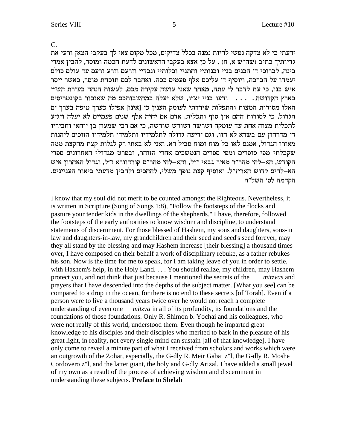$\overline{C}$ .

ידעתי כי לא צדקה נפשי להיות נמנה בכלל צדיקים, מכל מקום צאי לך בעקבי הצאן ורעי את גדיותיך כתיב (שה"ש א, ח) , על כן אצא בעקבי הראשונים לדעת חכמה ומוסר, להבין אמרי בינה, לברוכי ד׳ הבנים בניי ובנותיי וחתניי וכלותיי ונכדיי וזרעם וזרע זרעם עד עולם כולם יעמדו על הברכה, ויוסיף ד' עליכם אלף פעמים ככה. ואחבר לכם תוכחת מוסר, כאשר ייסר איש בנו, כי עת לדבר לי עתה, מאחר שאני עושה עקירה מכם, לעשות הנחה בעזרת הש"י בארץ הקדושה.... . . . ודעו בניי יצ"ו, שלא יעלה במחשבותכם מה שאזכור בקונטריסים האלו מסודות המצות והתפלות שירדתי לעומק הענין כי [אינו] אפילו כערך טיפה בערך ים הגדול, כי לסודות ההם אין סוף ותכלית, אדם אם יחיה אלף שנים פעמיים לא יעלה ויגיע לתכלית מצוה אחת עד עומקה ושרשה ושורש שורשה, כי אם רבי שמעון בן יוחאי וחביריו די מדרהון עם בשרא לא הוו, וגם ידיעה גדולה לתלמידיו ותלמידי תלמידיו הזוכים ליהנות מאורו הגדול, אמנם לאו כל מוח ומוח סביל דא. ואני לא באתי רק לגלות קצת מהקצת ממה שקבלתי מפי סופרים ומפי ספרים הנמשכים אחרי הזוהר, ובפרט מגדולי האחרונים ספרי הקודש, הא-להי מהר"ר מאיר גבאי ז"ל, והא-להי מהר"ם קורדוורא ז"ל, וגדול האחרון איש הא–להים קדוש האריז״ל. ואוסיף קצת נופך משלי, להחכים ולהבין מדעתי ביאור העניינים. הקדמה לס׳ השל״ה

I know that my soul did not merit to be counted amongst the Righteous. Nevertheless, it is written in Scripture (Song of Songs 1:8), "Follow the footsteps of the flocks and pasture your tender kids in the dwellings of the shepherds." I have, therefore, followed the footsteps of the early authorities to know wisdom and discipline, to understand statements of discernment. For those blessed of Hashem, my sons and daughters, sons-in law and daughters-in-law, my grandchildren and their seed and seed's seed forever, may they all stand by the blessing and may Hashem increase [their blessing] a thousand times over, I have composed on their behalf a work of disciplinary rebuke, as a father rebukes his son. Now is the time for me to speak, for I am taking leave of you in order to settle, with Hashem's help, in the Holy Land. . . . You should realize, my children, may Hashem protect you, and not think that just because I mentioned the secrets of the mitzvas and prayers that I have descended into the depths of the subject matter. [What you see] can be compared to a drop in the ocean, for there is no end to these secrets [of Torah]. Even if a person were to live a thousand years twice over he would not reach a complete understanding of even one *mitzva* in all of its profundity, its foundations and the foundations of those foundations. Only R. Shimon b. Yochai and his colleagues, who were not really of this world, understood them. Even though he imparted great knowledge to his disciples and their disciples who merited to bask in the pleasure of his great light, in reality, not every single mind can sustain [all of that knowledge]. I have only come to reveal a minute part of what I received from scholars and works which were an outgrowth of the Zohar, especially, the G-dly R. Meir Gabai z''l, the G-dly R. Moshe Cordovero z"l, and the latter giant, the holy and G-dly Arizal. I have added a small jewel of my own as a result of the process of achieving wisdom and discernment in understanding these subjects. Preface to Shelah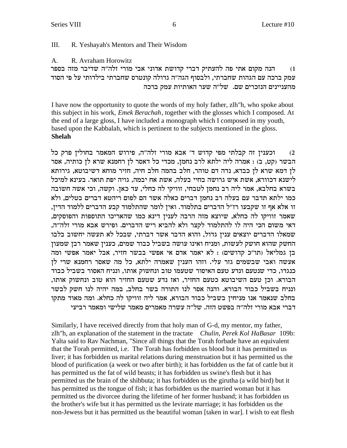#### III. R. Yeshayah's Mentors and Their Wisdom

 $A_{1}$ R. Avraham Horowitz

הנה מקום אתי פה להעתיק דברי קדושת אדוני אבי מורי זלה"ה שדיבר מזה בספר  $(1)$ עמק ברכה עם הגהות שחברתי, ולבסוף הגה״ה גדולה קונטרס שחברתי בילדותי על פי הסוד מהעניינים הנזכרים שם. של"ה שער האותיות עמק ברכה

I have now the opportunity to quote the words of my holy father, zlh "h, who spoke about this subject in his work, *Emek Berachah*, together with the glosses which I composed. At the end of a large gloss, I have included a monograph which I composed in my youth, based upon the Kabbalah, which is pertinent to the subjects mentioned in the gloss. **Shelah** 

וכענין זה קבלתי מפי קדוש ד' אבא מורי זלה"ה, פירוש המאמר בחולין פרק כל  $(2)$ הבשר (קט, ב) : אמרה ליה ילתא לרב נחמן, מכדי כל דאסר לן רחמנא שרא לן כותיה, אסר לן דמא שרא לן כבדא, נדה דם טוהר, חלב בהמה חלב חיה, חזיר מוחא דשיבוטא, גירותא לישנא דכוורא, אשת איש גרושה בחיי בעלה, אשת אח יבמה, גויה יפת תואר. בעינא למיכל בשרא בחלבא, אמר ליה רב נחמן לטבחי, זוויקי לה כחלי, עד כאן. וקשה, וכי אשה חשובה כמו ילתא תדבר עם בעלה רב נחמן דברים כאלה אשר הם לפום ריהטא דברים בטלים, ולא זו אלא אף זו שקבעו רז"ל הדברים בתלמוד. ואין לומר שהתלמוד קבע הדברים ללמוד הדין, שאמר זוויקו לה כחלא, שיוצא מזה הרבה לענין דינא כמו שהאריכו התוספות והפוסקים, דאי משום הכי היה לו להתלמוד לקצר ולא להביא ריש הדברים. ופירש אבא מורי זלה"ה, שמאלו הדברים יוצאים ענין גדול, והוא הדבר אשר דברתי, שבכל לא תעשה יחשוב בלבו החשק שהוא חושק לעשות, ומניח ואינו עושה בשביל כבוד שמים, כענין שאמר רבן שמעון בן גמליאל (תו"כ קדושים) : לא יאמר אדם אי אפשי בבשר חזיר, אבל יאמר אפשי ומה אעשה ואבי שבשמים גזר עלי. וזהו העניז שאמרה ילתא, כל מה שאסר רחמנא שרי לז כנגדו, כדי שנטעם ונדע טעם האיסור שטעמו טוב ונחשוק אותו, ונניח האסור בשביל כבוד הבורא. וכן טעם השיבוטא כטעם החזיר, ואז נדע שטעם החזיר הוא טוב ונחשוק אותו, ונניח בשביל כבוד הבורא. והנה אסר לנו התורה בשר בחלב, במה יהיה לנו חשק לבשר בחלב שנאמר אנו מניחין בשביל כבוד הבורא, אמר ליה זוויקו לה כחלא. ומה מאוד מתקו דברי אבא מורי זלה״ה בפשט הזה. של״ה עשרה מאמרים מאמר שלישי ומאמר רביעי

Similarly, I have received directly from that holy man of G-d, my mentor, my father, zlh"h, an explanation of the statement in the tractate Chulin, Perek Kol HaBasar 109b: Yalta said to Rav Nachman, "Since all things that the Torah forbade have an equivalent that the Torah permitted, i.e. The Torah has forbidden us blood but it has permitted us liver; it has forbidden us marital relations during menstruation but it has permitted us the blood of purification (a week or two after birth); it has forbidden us the fat of cattle but it has permitted us the fat of wild beasts; it has forbidden us swine's flesh but it has permitted us the brain of the shibbuta; it has forbidden us the girutha (a wild bird) but it has permitted us the tongue of fish; it has forbidden us the married woman but it has permitted us the divorcee during the lifetime of her former husband; it has forbidden us the brother's wife but it has permitted us the levirate marriage; it has forbidden us the non-Jewess but it has permitted us the beautiful woman [taken in war]. I wish to eat flesh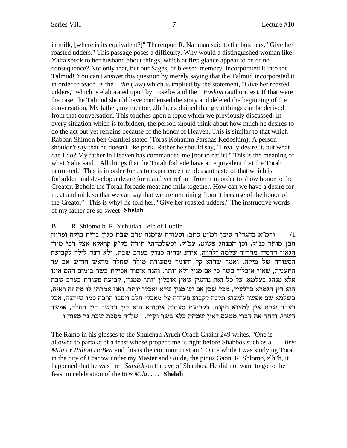in milk, [where is its equivalent?]" Thereupon R. Nahman said to the butchers, "Give her roasted udders." This passage poses a difficulty. Why would a distinguished woman like Yalta speak to her husband about things, which at first glance appear to be of no consequence? Not only that, but our Sages, of blessed memory, incorporated it into the Talmud! You can't answer this question by merely saying that the Talmud incorporated it in order to teach us the *din* (law) which is implied by the statement, "Give her roasted udders," which is elaborated upon by Tosefos and the *Poskim* (authorities). If that were the case, the Talmud should have condensed the story and deleted the beginning of the conversation. My father, my mentor, zlh"h, explained that great things can be derived from that conversation. This touches upon a topic which we previously discussed: In every situation which is forbidden, the person should think about how much he desires to do the act but yet refrains because of the honor of Heaven. This is similar to that which Rabban Shimon ben Gamliel stated (Toras Kohanim Parshas Kedoshim): A person shouldn't say that he doesn't like pork. Rather he should say, "I really desire it, but what can I do? My father in Heaven has commanded me [not to eat it]." This is the meaning of what Yalta said. "All things that the Torah forbade have an equivalent that the Torah permitted." This is in order for us to experience the pleasant taste of that which is forbidden and develop a desire for it and yet refrain from it in order to show honor to the Creator. Behold the Torah forbade meat and milk together. How can we have a desire for meat and milk so that we can say that we are refraining from it because of the honor of the Creator? [This is why] he told her, "Give her roasted udders." The instructive words of my father are so sweet! **Shelah**

#### B. R. Shlomo b. R. Yehudah Leib of Lublin

ורמ״א בהגה״ה סימן רמ״ט כתב: וסעודה שזמנה ערב שבת כגון ברית מילה ופדיון  $\,$ הבן מותר כנ"ל, וכן המנהג פשוט, עכ"ל. וכשלמדתי תורה בק"ק קראקא אצל רבי מורי הגאון החסיד מהר"ר שלמה זלה"ה, אירע שהיה סנדק בערב שבת, ולא רצה לילך לקביעת הסעודה של מילה. ואמר שהוא קל וחומר מסעודת מילה שחלה מראש חודש אב עד התענית, שאין אוכלין בשר כי אם מנין ולא יותר. והנה איסור אכילת בשר בימים ההם אינו אלא מנהג בעלמא, על כל זאת נוהגין שאין אוכלין יותר ממנין, קביעת סעודת בערב שבת הוא דין דגמרא כדלעיל, מכל שכן אם יש מנין שלא יאכלו יותר. ואני אמרתי לו מה זה ראיה, בשלמא שם אפשר למצוא תקנה לקבוע סעודה על מאכלי חלב ויסבו הרבה כמו שירצה, אבל בערב שבת אין למצוא תקנה, דקביעת סעודה איסורא הוא בין בבשר בין בחלב, אפשר רשרי. ודחה את דברי מטעם דאין שמחה בלא בשר וק"ל. משל"ה מסכת שבת נר מצוה ו

The Ramo in his glosses to the Shulchan Aruch Orach Chaim 249 writes, "One is allowed to partake of a feast whose proper time is right before Shabbos such as a *Bris Mila* or *Pidion HaBen* and this is the common custom." Once while I was studying Torah in the city of Cracow under my Master and Guide, the pious Gaon, R. Shlomo, zlh"h, it happened that he was the *Sandek* on the eve of Shabbos. He did not want to go to the feast in celebration of the *Bris Mila*. . . . **Shelah**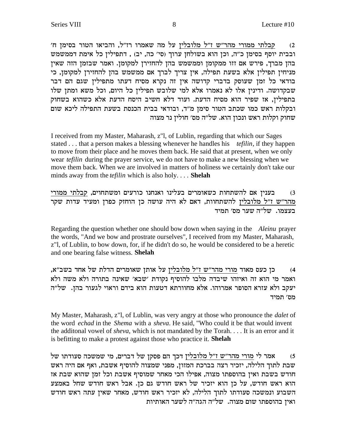'a סבלתי ממורי מהר"ש ז"ל מלובלין על מה שאמרו רז"ל, והביאו הטור בסימן ח ובבית יוסף בסימן כ"ה, וכן הוא בשולחן ערוך (סי' כה, יב) , דתפילין כל אימת דממשמש בהן מברך, פירש אם זזו ממקומן וממשמש בהן להחזירן למקומן. ואמר שבזמן הזה שאין מניחין תפילין אלא בשעת תפילה, אין צריך לברך אם ממשמש בהן להחזירן למקומן, כי בודאי כל זמן שעוסק בדברי קדושה אין זה נקרא מסיח דעתו מתפילין שגם הם דבר שבקדושה. ודינין אלו לא נאמרו אלא למי שלובש תפילין כל היום, וכל משא ומתן שלו בתפילין, אז שפיר הוא מסיח הדעת. ועוד דלא חשיב היסח הדעת אלא כשהוא בשחוק ובקלות ראש כמו שכתב הטור סימן מ"ד, ובודאי בבית הכנסת בשעת התפילה ליכא שום שחוק וקלות ראש ונכון הוא. של"ה מס' חולין נר מצוה

I received from my Master, Maharash, z"l, of Lublin, regarding that which our Sages stated . . . that a person makes a blessing whenever he handles his *tefilin*, if they happen to move from their place and he moves them back. He said that at present, when we only wear *tefilin* during the prayer service, we do not have to make a new blessing when we move them back. When we are involved in matters of holiness we certainly don't take our minds away from the *tefilin* which is also holy. . . . **Shelah**

ixen izlay ומשתחוים, קבלתי ממורים של השתחוים, הבלתי ממורי מהר"ש ז"ל מלובלין להשתחוות, דאם לא היה עושה כן הוחזק כפרן ומעיד עדות שקר בעצמו.  $w$ ל"ה שער מס' תמיד

Regarding the question whether one should bow down when saying in the *Aleinu* prayer the words, "And we bow and prostrate ourselves", I received from my Master, Maharash, z"l, of Lublin, to bow down, for, if he didn't do so, he would be considered to be a heretic and one bearing false witness. **Shelah**

4) כן כעס מאוד <u>מורי מהר"ש ז"ל מלובלי</u>ן על אותן שאומרים הדלת של אחד בשב"א, ואמר מי הוא זה ואיזהו שיבדה מלבו להוסיף נקודת 'שבא' שאינה בתורה ולא משה ולא יעקב ולא עזרא הסופר אמרוהו. אלא מחוורתא דטעות הוא בידם וראוי לגעור בהן. של"ה מס׳ תמיד

My Master, Maharash, z"l, of Lublin, was very angry at those who pronounce the *dalet* of the word *echad* in the *Shema* with a *sheva*. He said, "Who could it be that would invent the additonal vowel of *sheva*, which is not mandated by the Torah. . . . It is an error and it is befitting to make a protest against those who practice it. **Shelah**

לי מורי מהר"ש ז"ל מלובלין דכך הם פסקן של דברים, מי שמשכה סעודתו של  $\qquad(5$ שבת לתוך הלילה, יזכיר רצה בברכת המזון, מפני שמצוה להוסיף אשבת, ואף אם היה ראש חודש בשבת ואין בהוספתו מצוה, אפילו הכי מאחר שמוסיף אשבת וכל זמן שהוא שבת אז הוא ראש חודש, על כן הוא יזכיר של ראש חודש גם כן. אבל ראש חודש שחל באמצע השבוע ונמשכה סעודתו לתוך הלילה, לא יזכיר ראש חודש, מאחר שאין עתה ראש חודש ואין בהוספתו שום מצוה. של"ה הגה"ה לשער האותיות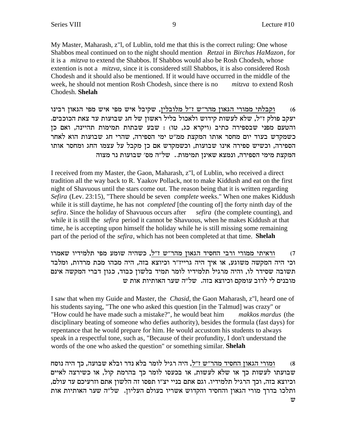My Master, Maharash, z"l, of Lublin, told me that this is the correct ruling: One whose Shabbos meal continued on to the night should mention *Retzai* in *Birchas HaMazon*, for it is a *mitzva* to extend the Shabbos. If Shabbos would also be Rosh Chodesh, whose extention is not a *mitzva*, since it is considered still Shabbos, it is also considered Rosh Chodesh and it should also be mentioned. If it would have occurred in the middle of the week, he should not mention Rosh Chodesh, since there is no *mitzva* to extend Rosh Chodesh. **Shelah**

וקבלתי ממורי הגאון מהר"ש ז"ל מלובלין, שקיבל איש מפי איש מפי הגאון רבינו  $(6\,$ יעקב פולק ז"ל, שלא לעשות קידוש ולאכול בליל ראשון של חג שבועות עד צאת הכוכבים. והטעם מפני שבספירה כתיב (ויקרא כג, טו) : שבע שבתות תמימות תהיינה, ואם כן כשמקדש בעוד יום מחסר אותו המקצת ממ"ט ימי הספירה, שהרי חג שבועות הוא לאחר הספירה, וכשיש ספירה אינו שבועות, וכשמקדש אם כן מקבל על עצמו החג ומחסר אותו המקצת מימי הספירה, ונמצא שאינן תמימות.. של"ה מס' שבועות נר מצוה

I received from my Master, the Gaon, Maharash, z"l, of Lublin, who received a direct tradition all the way back to R. Yaakov Pollack, not to make Kiddush and eat on the first night of Shavuous until the stars come out. The reason being that it is written regarding *Sefira* (Lev. 23:15), "There should be seven *complete* weeks." When one makes Kiddush while it is still daytime, he has not *completed* [the counting of] the forty ninth day of the *sefira*. Since the holiday of Shavuous occurs after *sefira* (the complete counting), and while it is still the *sefira* period it cannot be Shavuous, when he makes Kiddush at that time, he is accepting upon himself the holiday while he is still missing some remaining part of the period of the *sefira*, which has not been completed at that time. **Shelah**

וראיתי ממורי ורבי החסיד הגאון מהר"ש ז"ל, כשהיה שומע מפי תלמידיו שאמרו i וכי היה המקשה משוגע, או איך היה גרייז"ר וכיוצא בזה, היה מכהו מכת מרדות, ומלבד תשובה שסידר לו, והיה מרגיל תלמידיו לומר תמיד בלשון כבוד, כגון דברי המקשה אינם מובנים לי לרוב עומקם וכיוצא בזה. של"ה שער האותיות אות ש

I saw that when my Guide and Master, the *Chasid*, the Gaon Maharash, z"l, heard one of his students saying, "The one who asked this question [in the Talmud] was crazy" or "How could he have made such a mistake?", he would beat him *makkos mardus* (the disciplinary beating of someone who defies authority), besides the formula (fast days) for repentance that he would prepare for him. He would accustom his students to always speak in a respectful tone, such as, "Because of their profundity, I don't understand the words of the one who asked the question" or something similar. **Shelah**

ומורי הגאון החסיד מהר"ש ז"ל, היה רגיל לומר בלא נדר ובלא שבועה, כך היה נוסח (8 שבועתו לעשות כך או שלא לעשות, או בכעסו לומר כך בהרמת קול, או כשירצה לאיים , וכיוצא בזה, וכך הרגיל תלמידיו. וגם אתם בניי יצ״ו תפסו זה הלשון אתם וזרעיכם עד עולם, ותלכו בדרך מורי הגאון והחסיד והקדוש אשריו בעולם העליון. של"ה שער האותיות אות  $\boldsymbol{w}$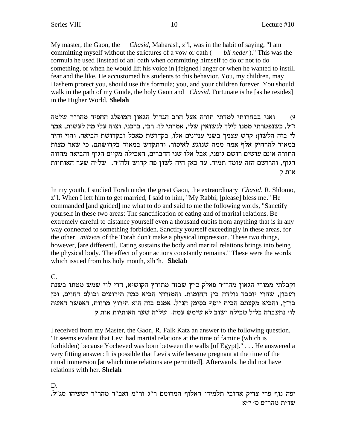*Chasid*, Maharash, z"l, was in the habit of saying, "I am My master, the Gaon, the committing myself without the strictures of a vow or oath ( bli neder)." This was the formula he used [instead of an] oath when committing himself to do or not to do something, or when he would lift his voice in [feigned] anger or when he wanted to instill fear and the like. He accustomed his students to this behavior. You, my children, may Hashem protect you, should use this formula; you, and your children forever. You should walk in the path of my Guide, the holy Gaon and *Chasid*. Fortunate is he [as he resides] in the Higher World. Shelah

ואני בבחרותי למדתי תורה אצל הרב הגדול הגאון המופלג החסיד מהר״ר שלמה  $(9)$ ז״ל, כשנפטרתי ממנו לילך לנשואין שלי, אמרתי לו: רבי, ברכני, וצוה עלי מה לעשות, אמר לי בזה הלשון: קדש עצמך בשני עניינים אלו, בקדושת מאכל ובקדושת הביאה, והוי זהיר במאוד להרחיק אלף אמה ממה שנוגע לאיסור, והתקדש במאוד בקדושתם, כי שאר מצות התורה אינם עושים רושם גופני, אבל אלו שני הדברים, האכילה מקיים הגוף והביאה מהווה הגוף, והרושם הזה עומד תמיד. עד כאן היה לשון פה קדוש זלה"ה. של"ה שער האותיות אות ק

In my youth, I studied Torah under the great Gaon, the extraordinary *Chasid*, R. Shlomo, z"l. When I left him to get married, I said to him, "My Rabbi, [please] bless me." He commanded [and guided] me what to do and said to me the following words, "Sanctify" yourself in these two areas: The sanctification of eating and of marital relations. Be extremely careful to distance yourself even a thousand cubits from anything that is in any way connected to something forbidden. Sanctify yourself exceedingly in these areas, for the other *mitzyas* of the Torah don't make a physical impression. These two things, however, [are different]. Eating sustains the body and marital relations brings into being the physical body. The effect of your actions constantly remains." These were the words which issued from his holy mouth, zlh"h. Shelah

 $C_{\cdot}$ 

וקבלתי ממורי הגאון מהר"ר פאלק כ"ץ שבזה מתורץ הקושיא, הרי לוי שמש מטתו בשנת רעבון, שהרי יוכבד נולדה בין החומות. והמזרחי הביא כמה תירוצים וכולם דחוים, וכן בר"ן, והביא מקצתם הבית יוסף בסימן הנ"ל. אמנם בזה הוא תירוץ מרווח, דאפשר דאשת לוי נתעברה בליל טבילה ושוב לא שימש עמה. של״ה שער האותיות אות ק

I received from my Master, the Gaon, R. Falk Katz an answer to the following question, "It seems evident that Levi had marital relations at the time of famine (which is forbidden) because Yocheved was born between the walls [of Egypt]." . . . He answered a very fitting answer: It is possible that Levi's wife became pregnant at the time of the ritual immersion [at which time relations are permitted]. Afterwards, he did not have relations with her. Shelah

D. יפה נוף פרי צדיק אהובי תלמידי האלוף המרומם ר"ג ור"מ ואב"ד מהר"ר ישעיהו סג"ל. שו"ת מהר"ם ס' י"א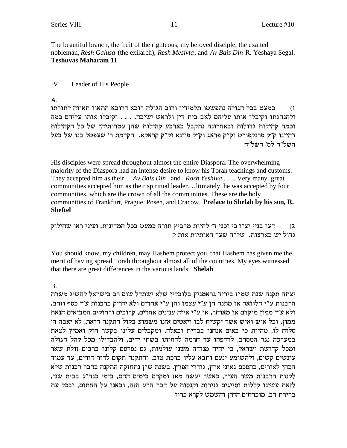The beautiful branch, the fruit of the righteous, my beloved disciple, the exalted nobleman, Resh Galusa (the exilarch), Resh Mesivta, and Av Bais Din R. Yeshaya Segal. **Teshuvas Maharam 11** 

#### IV. Leader of His People

### A.

כמעט בכל הגולה נתפשטו תלמידיו ורוב הגולה רובא דרובא התאוו תאווה לתורתו  $(1)$ ולהנהגתו וקיבלו אותו עליהם לאב בית דין ולראש ישיבה. . . . וקיבלו אותו עליהם כמה וכמה קהילות גדולות ובאחרונה נתקבל בארבע קהילות שהן עטרותיהן של כל הקהילות דהיינו ק״ק פרנקפורט וק״ק פראג וק״ק פוזנא וק״ק קראקא. הקדמת ר׳ שעפטל בנו של בעל השל״ה לס׳ השל״ה

His disciples were spread throughout almost the entire Diaspora. The overwhelming majority of the Diaspora had an intense desire to know his Torah teachings and customs. They accepted him as their  $Av$  Bais Din and Rosh Yeshiva ... Very many great communities accepted him as their spiritual leader. Ultimately, he was accepted by four communities, which are the crown of all the communities. These are the holy communities of Frankfurt, Prague, Posen, and Cracow. Preface to Shelah by his son, R. **Sheftel** 

דעו בניי יצ"ו כי זכני ד' להיות מרביץ תורה כמעט בכל המדינות, ועיני ראו שחילוק  $(2)$ גדול יש בארצות. של"ה שער האותיות אות ק

You should know, my children, may Hashem protect you, that Hashem has given me the merit of having spread Torah throughout almost all of the countries. My eyes witnessed that there are great differences in the various lands. Shelah

## **B.**

יצתה תקנה שנת שמ"ז ביריד גראמניץ בלובלין שלא ישתדל שום רב בישראל להשיג משרת הרבנות ע"י הלוואה או מתנה הן ע"י עצמו והן ע"י אחרים ולא יחזיק ברבנות ע"י כסף וזהב, ולא ע"י ממון מוקדם או מאוחר, או ע"י איזה ענינים אחרים, קרובים ורחוקים המביאים הנאת ממון, וכל איש ואיש אשר יקשיח לבו ויאטים אזנו משמוע בקול התקנה הזאת, לא יאבה ה׳ סלוח לו, מהיות כי באים אנחנו בברית ובאלה, ומקבלים עלינו בקשר חזק ואמיץ לצאת במערכה נגד המסרב, לרדפהו עד חרמה לדחותו בשתי ידים, ולהבדילו מכל קהל הגולה ומכל קדושת ישראל, כי יהיה מנודה משני עולמות, גם נפרסם קלונו ברבים זולת שאר עונשים קשים, ולהשומע ינעם ותבא עליו ברכת טוב, והתקנה תקום לדור דורים, עד עמוד הכהן לאורים, בהסכם גאוני ארץ, גודרי הפרץ. בשנת ש"ן נתחזקה התקנה בדבר רבנות שלא לקנות הרבנות משר העיר, כאשר יעשה מאז ומקדם בימים ההם, בימי כנה"ג בבית שני, לזאת עשינו קללות וסייגים גזירות וקנסות על דבר הרע הזה, ובאנו על החתום, ובכל עת ברירת רב, מוכרחים החזן והשמש לקרא כרוז.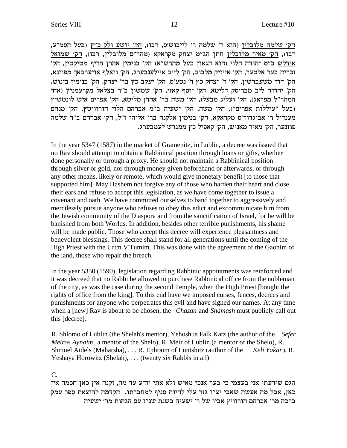הק׳ שלמה מלובלין (הוא ר׳ שלמה ר׳ לייבוש׳ס, רבו), הק׳ יושע ולק כ״ץ (בעל הסמ״ע, רבו), <u>הק' מאיר מלובלי</u>ן חתן הג"מ יצחק מקראקא (מהר"ם מלובלין, רבו), הק' שמואל 'אידלש ב"מ יהודה הלוי (הוא הגאון בעל מהרש"א) הק' בנימין אהרן חריף מטיקטין, הק , זכריה בער אלטער, הק׳ אייזיק מלבוב, הק׳ לייב איילענבערג, הק׳ וואלף אויערבאך מפוזנא הק׳ דוד משעברשין, הק׳ ר׳ יצחק כץ ר׳ נטע׳ס, הק׳ יעקב כץ בר׳ יצחק, הק׳ בנימין בינוש, הק׳ יהודה ליב מבריסק דליטא, הק׳ יוסף קאזי, הק׳ שמשון ב״ר בצלאל מקרעמניץ (אחי המהר"ל מפראג), הק' ועליג מבעלז, הק' משה בר' אהרן מליטא, הק' אפרים איש לונטשיץ בעל "עוללות אפרים"), הק' משה, <u>הק' ישעיה ב"מ אברהם הלוי הורוויטץ</u>, הק' מנחם) מענדיל ר' אביגדור'ס מקראקא, הק' בנימין אלקנה בר' אליהו ז"ל, הק' אברהם ב"ר שלמה .<br>פוזנער, הק' מאיר מאניש, הק' קאפיל כץ ממגרש לעמבערג

In the year 5347 (1587) in the market of Gramenitz, in Lublin, a decree was issued that no Rav should attempt to obtain a Rabbinical position through loans or gifts, whether done personally or through a proxy. He should not maintain a Rabbinical position through silver or gold, nor through money given beforehand or afterwards, or through any other means, likely or remote, which would give monetary benefit [to those that supported him]. May Hashem not forgive any of those who harden their heart and close their ears and refuse to accept this legislation, as we have come together to issue a covenant and oath. We have committed ourselves to band together to aggressively and mercilessly pursue anyone who refuses to obey this edict and excommunicate him from the Jewish community of the Diaspora and from the sanctification of Israel, for he will be banished from both Worlds. In addition, besides other terrible punishments, his shame will be made public. Those who accept this decree will experience pleasantness and benevolent blessings. This decree shall stand for all generations until the coming of the High Priest with the Urim V'Tumim. This was done with the agreement of the Gaonim of the land, those who repair the breach.

In the year 5350 (1590), legislation regarding Rabbinic appointments was reinforced and it was decreed that no Rabbi be allowed to purchase Rabbinical office from the nobleman of the city, as was the case during the second Temple, when the High Priest [bought the rights of office from the king]. To this end have we imposed curses, fences, decrees and punishments for anyone who perpetrates this evil and have signed our names. At any time when a [new] Rav is about to be chosen, the *Chazan* and *Shamash* must publicly call out this [decree].

R. Shlomo of Lublin (the Shelah's mentor), Yehoshua Falk Katz (the author of the *Sefer Meiros Aynaim*, a mentor of the Shelo), R. Meir of Lublin (a mentor of the Shelo), R. Shmuel Aidels (Maharsha), . . . R. Ephraim of Luntshitz (author of the *Keli Yakar*), R. Yeshaya Horowitz (Shelah), . . . (twenty six Rabbis in all)

#### C.

הגם שידעתי אני בעצמי כי בער אנכי מאיש ולא אתי יודע עד מה, זקנה אין כאן חכמה אין כאן, אבל מה אעשה שאבי יצ"ו גזר עלי להיות סניף למחברתו. הקדמה להוצאת ספר עמק ברכה מר' אברהם הורוויץ אביו של ר' ישעיה בשנת שנ"ז עם הגהות מר' ישעיה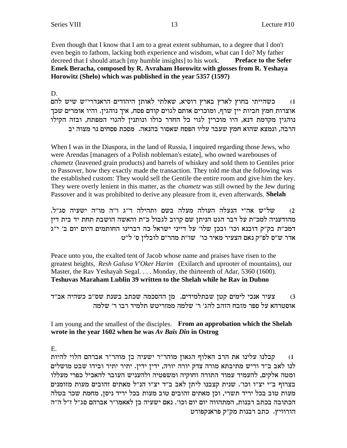Even though that I know that I am to a great extent subhuman, to a degree that I don't even begin to fathom, lacking both experience and wisdom, what can I do? My father decreed that I should attach [my humble insights] to his work. **Preface to the Sefer Emek Beracha, composed by R. Avraham Horowitz with glosses from R. Yeshaya Horowitz (Shelo) which was published in the year 5357 (1597)**

D.

כשהייתי בחוץ לארץ בארץ רוסיא, שאלתי לאותן היהודים הראנדרי"ש שיש להם אוצרות חמץ חביות יין שרף, ומוכרים אותם לגוים קודם פסח, איך נוהגין. והיו אומרים שכך נוהגין מקדמת דנא, היו מוכרין לגוי כל החדר כולו ונותנין להגוי המפתח, ובזה הקילו הרבה, ונמצא שהוא חמץ שעבר עליו הפסח שאסור בהנאה. מסכת פסחים נר מצוה יב

When I was in the Diaspora, in the land of Russia, I inquired regarding those Jews, who were Arendas [managers of a Polish nobleman's estate], who owned warehouses of *chametz* (leavened grain products) and barrels of whiskey and sold them to Gentiles prior to Passover, how they exactly made the transaction. They told me that the following was the established custom: They would sell the Gentile the entire room and give him the key. They were overly lenient in this matter, as the *chametz* was still owned by the Jew during Passover and it was prohibited to derive any pleasure from it, even afterwards. **Shelah**

.2) של"ש אה"י הנעלה העולה מעלה בשם ותהילה ר"ג ו"ה מו"ה ישעיה סג"ל. מהודעניה למכ״ת על דבר הגט הניתן שם קרוב לגבול כ״ת והאשה הושבת תחת יד בית דין דמכ"ת בק"ק דובנא וכו' ובכן שלו' על דייני ישראל כה דברינו החותמים היום יום ב' י"ג אדר ש״ס לפ״ק נאם הצעיר מאיר כו׳ שו״ת מהר״ם לובלין ס׳ ל״ט

Peace unto you, the exalted tent of Jacob whose name and praises have risen to the greatest heights, *Resh Galusa V'Oker Harim* (Exilarch and uprooter of mountains), our Master, the Rav Yeshayah Segal. . . . Monday, the thirteenth of Adar, 5360 (1600). **Teshuvas Maraham Lublin 39 written to the Shelah while he Rav in Dubno**

צעיר אנכי לימים קטן שבתלמידים. מן ההסכמה שכתב בשנת שס"ב כשהיה אב"ד מוסטרהא על ספר מזבח הזהב להג׳ ר׳ שלמה ממזריטש תלמיד רבו ר׳ שלמה

## I am young and the smallest of the disciples. **From an approbation which the Shelah wrote in the year 1602 when he was** *Av Bais Din* **in Ostrog**

E.

ו) קבלנו עלינו את הרב האלוף הגאון מוהר״ר ישעיה בן מוהר״ר אברהם הלוי להיות לנו לאב ב"ד וריש מתיבתא מורה צדק יורה יורה, ידין ידין. יתיר יתיר ובידו שבט מושלים ומטה אלקים, להעמיד עמוד התורה וחוקיה ומשפטיה ולהעניש העובר להאכיל כפרי מעללו בצרוף ב"י יצ"ו וכו'. שנית קצבנו ליתן לאב ב"ד יצ"ו הנ"ל מאתים זהובים מעות מזומנים מעות טוב בכל יריד תשרי, וכן מאתים זהובים טוב מעות בכל יריד ניסן, מחמת שכר בטלה הכתובה בכתב רבנות, המתהווה יום יום וכו׳. נאם ישעיה בן לאאמו״ר אברהם סג״ל ז״ל ה״ה הורוויץ. כתב רבנות מק"ק פראנקפורט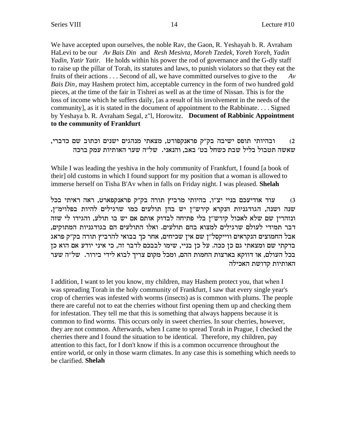We have accepted upon ourselves, the noble Ray, the Gaon, R. Yeshayah b. R. Avraham HaLevi to be our Av Bais Din and Resh Mesivta, Moreh Tzedek, Yoreh Yoreh, Yadin *Yadin, Yatir Yatir.* He holds within his power the rod of governance and the G-dly staff to raise up the pillar of Torah, its statutes and laws, to punish violators so that they eat the fruits of their actions . . . Second of all, we have committed ourselves to give to the  $Av$ Bais Din, may Hashem protect him, acceptable currency in the form of two hundred gold pieces, at the time of the fair in Tishrei as well as at the time of Nissan. This is for the loss of income which he suffers daily, [as a result of his involvement in the needs of the community], as it is stated in the document of appointment to the Rabbinate.... Signed by Yeshaya b. R. Avraham Segal, z"l, Horowitz. Document of Rabbinic Appointment to the community of Frankfurt

#### ובהיותי תופס ישיבה בק"ק פראנקפורט, מצאתי מנהגים ישנים וכתוב שם כדברי,  $(2)$ שאשה תטבול בליל שבת כשחל בט׳ באב, והנאני. של״ה שער האותיות עמק ברכה

While I was leading the yeshiva in the holy community of Frankfurt, I found [a book of their] old customs in which I found support for my position that a woman is allowed to immerse herself on Tisha B'Av when in falls on Friday night. I was pleased. Shelah

עוד אודיעכם בניי יצ"ו, בהיותי מרביץ תורה בק"ק פראנקפארט, ראה ראיתי בכל  $(3)$ שנה ושנה, הגודגניות הנקרא קירש"ן יש בהן תולעים כמו שרגילים להיות בפלוימ"ן, ונזהרין שם שלא לאכול קירש"ן בלי פתיחה לבדוק אותם אם יש בו תולע, והגידו לי שזה דבר תמידי לעולם שרגילים למצוא בהם תולעים. ואלו התולעים הם בגודגניות המתוקים, אבל החמוצים הנקראים ווייקסל"ן שם אין שכיחים, אחר כך בבואי להרביץ תורה בק"ק פראג בדקתי שם ומצאתי גם כן ככה. על כן בניי, שימו לבבכם לדבר זה, כי איני יודע אם הוא כן בכל העולם, או דווקא בארצות החמות ההם, ומכל מקום צריך לבוא לידי בירור. של"ה שער האותיות קדושת האכילה

I addition, I want to let you know, my children, may Hashem protect you, that when I was spreading Torah in the holy community of Frankfurt, I saw that every single year's crop of cherries was infested with worms (insects) as is common with plums. The people there are careful not to eat the cherries without first opening them up and checking them for infestation. They tell me that this is something that always happens because it is common to find worms. This occurs only in sweet cherries. In sour cherries, however, they are not common. Afterwards, when I came to spread Torah in Prague, I checked the cherries there and I found the situation to be identical. Therefore, my children, pay attention to this fact, for I don't know if this is a common occurrence throughout the entire world, or only in those warm climates. In any case this is something which needs to be clarified. Shelah